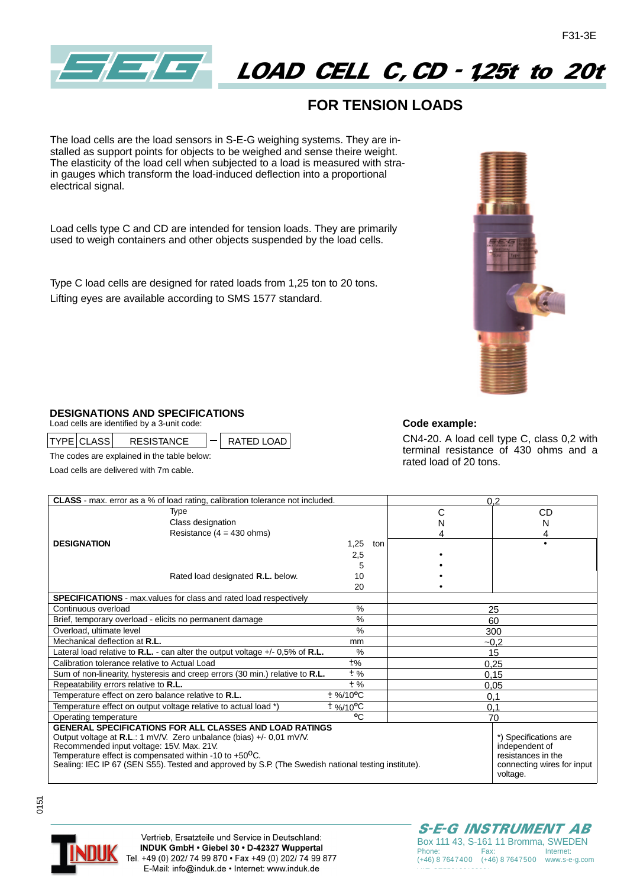

 $\sqrt{1-11}$  LOAD CELL C, CD  $\cdot$  125t to 20t

## **FOR TENSION LOADS**

The load cells are the load sensors in S-E-G weighing systems. They are installed as support points for objects to be weighed and sense theire weight. The elasticity of the load cell when subjected to a load is measured with strain gauges which transform the load-induced deflection into a proportional electrical signal.

Load cells type C and CD are intended for tension loads. They are primarily used to weigh containers and other objects suspended by the load cells.

Type C load cells are designed for rated loads from 1,25 ton to 20 tons. Lifting eyes are available according to SMS 1577 standard.



#### **DESIGNATIONS AND SPECIFICATIONS**

Load cells are identified by a 3-unit code:

 $TYPE | CLASS |$  RESISTANCE  $|-|$  RATED LOAD

The codes are explained in the table below:

Load cells are delivered with 7m cable.

**Code example:**

CN4-20. A load cell type C, class 0,2 with terminal resistance of 430 ohms and a rated load of 20 tons.

| <b>CLASS</b> - max. error as a % of load rating, calibration tolerance not included.                                                                                                                                                                                                                                                                       | 0.2                                                                                                     |     |        |    |  |  |
|------------------------------------------------------------------------------------------------------------------------------------------------------------------------------------------------------------------------------------------------------------------------------------------------------------------------------------------------------------|---------------------------------------------------------------------------------------------------------|-----|--------|----|--|--|
| Type                                                                                                                                                                                                                                                                                                                                                       |                                                                                                         |     | C      | CD |  |  |
| Class designation                                                                                                                                                                                                                                                                                                                                          |                                                                                                         | N   | N      |    |  |  |
| Resistance ( $4 = 430$ ohms)                                                                                                                                                                                                                                                                                                                               |                                                                                                         |     |        |    |  |  |
| <b>DESIGNATION</b>                                                                                                                                                                                                                                                                                                                                         | 1,25                                                                                                    | ton |        |    |  |  |
|                                                                                                                                                                                                                                                                                                                                                            | 2,5                                                                                                     |     |        |    |  |  |
|                                                                                                                                                                                                                                                                                                                                                            | 5                                                                                                       |     |        |    |  |  |
| Rated load designated R.L. below.                                                                                                                                                                                                                                                                                                                          | 10                                                                                                      |     |        |    |  |  |
|                                                                                                                                                                                                                                                                                                                                                            | 20                                                                                                      |     |        |    |  |  |
| <b>SPECIFICATIONS</b> - max.values for class and rated load respectively                                                                                                                                                                                                                                                                                   |                                                                                                         |     |        |    |  |  |
| Continuous overload                                                                                                                                                                                                                                                                                                                                        | $\%$                                                                                                    |     | 25     |    |  |  |
| Brief, temporary overload - elicits no permanent damage                                                                                                                                                                                                                                                                                                    | %                                                                                                       |     | 60     |    |  |  |
| Overload, ultimate level                                                                                                                                                                                                                                                                                                                                   | $\%$                                                                                                    |     | 300    |    |  |  |
| Mechanical deflection at R.L.                                                                                                                                                                                                                                                                                                                              | mm                                                                                                      |     | $-0.2$ |    |  |  |
| Lateral load relative to $R.L.$ - can alter the output voltage $+/-0.5\%$ of $R.L.$                                                                                                                                                                                                                                                                        | $\frac{9}{6}$                                                                                           |     | 15     |    |  |  |
| Calibration tolerance relative to Actual Load                                                                                                                                                                                                                                                                                                              | $+$ %                                                                                                   |     | 0.25   |    |  |  |
| Sum of non-linearity, hysteresis and creep errors (30 min.) relative to R.L.                                                                                                                                                                                                                                                                               | $±$ %                                                                                                   |     | 0,15   |    |  |  |
| Repeatability errors relative to R.L.                                                                                                                                                                                                                                                                                                                      | ± %                                                                                                     |     | 0,05   |    |  |  |
| Temperature effect on zero balance relative to R.L.                                                                                                                                                                                                                                                                                                        | $± %/10$ <sup>o</sup> C                                                                                 |     | 0,1    |    |  |  |
| Temperature effect on output voltage relative to actual load *)                                                                                                                                                                                                                                                                                            | $+$ %/10 <sup>o</sup> C                                                                                 |     | 0.1    |    |  |  |
| °C.<br>Operating temperature                                                                                                                                                                                                                                                                                                                               |                                                                                                         |     | 70     |    |  |  |
| GENERAL SPECIFICATIONS FOR ALL CLASSES AND LOAD RATINGS<br>Output voltage at R.L.: 1 mV/V. Zero unbalance (bias) +/- 0,01 mV/V.<br>Recommended input voltage: 15V. Max. 21V.<br>Temperature effect is compensated within -10 to +50 <sup>o</sup> C.<br>Sealing: IEC IP 67 (SEN S55). Tested and approved by S.P. (The Swedish national testing institute). | *) Specifications are<br>independent of<br>resistances in the<br>connecting wires for input<br>voltage. |     |        |    |  |  |





Vertrieb, Ersatzteile und Service in Deutschland: INDUK GmbH • Giebel 30 • D-42327 Wuppertal Tel. +49 (0) 202/ 74 99 870 · Fax +49 (0) 202/ 74 99 877 E-Mail: info@induk.de · Internet: www.induk.de

S-E-G INSTRUMENT AB Box 111 43, S-161 11 Bromma, SWEDEN Phone: Fax: Internet: (+46) 8 7647400 (+46) 8 7647500 www.s-e-g.com

VAT: SE556186188001